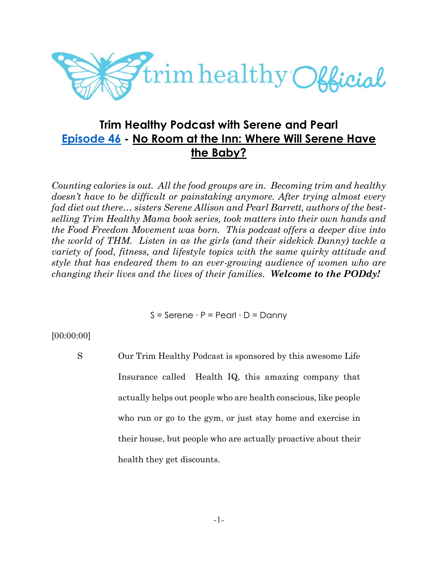

# **Trim Healthy Podcast with Serene and Pearl [Episode 46](https://cms.megaphone.fm/channel/trimhealthypodcast?selected=ADL4400181881) - No Room at the Inn: Where Will Serene Have the Baby?**

*Counting calories is out. All the food groups are in. Becoming trim and healthy doesn't have to be difficult or painstaking anymore. After trying almost every fad diet out there… sisters Serene Allison and Pearl Barrett, authors of the bestselling Trim Healthy Mama book series, took matters into their own hands and the Food Freedom Movement was born. This podcast offers a deeper dive into the world of THM. Listen in as the girls (and their sidekick Danny) tackle a variety of food, fitness, and lifestyle topics with the same quirky attitude and style that has endeared them to an ever-growing audience of women who are changing their lives and the lives of their families. Welcome to the PODdy!*

 $S =$  Serene  $\cdot$  P = Pearl  $\cdot$  D = Danny

[00:00:00]

S Our Trim Healthy Podcast is sponsored by this awesome Life Insurance called Health IQ, this amazing company that actually helps out people who are health conscious, like people who run or go to the gym, or just stay home and exercise in their house, but people who are actually proactive about their health they get discounts.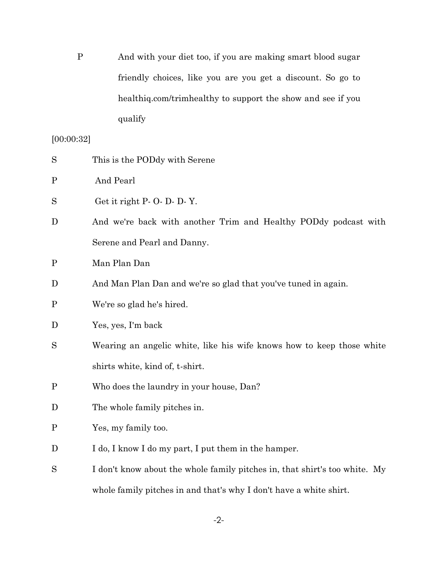P And with your diet too, if you are making smart blood sugar friendly choices, like you are you get a discount. So go to healthiq.com/trimhealthy to support the show and see if you qualify

# [00:00:32]

| S           | This is the PODdy with Serene                                              |
|-------------|----------------------------------------------------------------------------|
| $\mathbf P$ | And Pearl                                                                  |
| S           | Get it right P- O- D- D- Y.                                                |
| D           | And we're back with another Trim and Healthy PODdy podcast with            |
|             | Serene and Pearl and Danny.                                                |
| $\mathbf P$ | Man Plan Dan                                                               |
| D           | And Man Plan Dan and we're so glad that you've tuned in again.             |
| $\mathbf P$ | We're so glad he's hired.                                                  |
| D           | Yes, yes, I'm back                                                         |
| S           | Wearing an angelic white, like his wife knows how to keep those white      |
|             | shirts white, kind of, t-shirt.                                            |
| $\mathbf P$ | Who does the laundry in your house, Dan?                                   |
| D           | The whole family pitches in.                                               |
| $\mathbf P$ | Yes, my family too.                                                        |
| D           | I do, I know I do my part, I put them in the hamper.                       |
| S           | I don't know about the whole family pitches in, that shirt's too white. My |
|             | whole family pitches in and that's why I don't have a white shirt.         |

-2-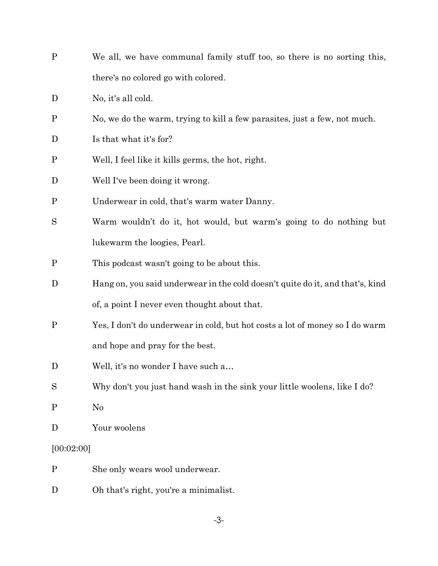| $\mathbf{P}$ | We all, we have communal family stuff too, so there is no sorting this,       |
|--------------|-------------------------------------------------------------------------------|
|              | there's no colored go with colored.                                           |
| D            | No, it's all cold.                                                            |
| $\mathbf P$  | No, we do the warm, trying to kill a few parasites, just a few, not much.     |
| D            | Is that what it's for?                                                        |
| $\mathbf P$  | Well, I feel like it kills germs, the hot, right.                             |
| D            | Well I've been doing it wrong.                                                |
| $\mathbf P$  | Underwear in cold, that's warm water Danny.                                   |
| S            | Warm wouldn't do it, hot would, but warm's going to do nothing but            |
|              | lukewarm the loogies, Pearl.                                                  |
| $\mathbf P$  | This podcast wasn't going to be about this.                                   |
| D            | Hang on, you said underwear in the cold doesn't quite do it, and that's, kind |
|              | of, a point I never even thought about that.                                  |
| $\mathbf{P}$ | Yes, I don't do underwear in cold, but hot costs a lot of money so I do warm  |
|              | and hope and pray for the best.                                               |
| D            | Well, it's no wonder I have such a                                            |
| S            | Why don't you just hand wash in the sink your little woolens, like I do?      |
| $\mathbf{P}$ | N <sub>0</sub>                                                                |
| D            | Your woolens                                                                  |
| [00:02:00]   |                                                                               |
| $\mathbf P$  | She only wears wool underwear.                                                |

D Oh that's right, you're a minimalist.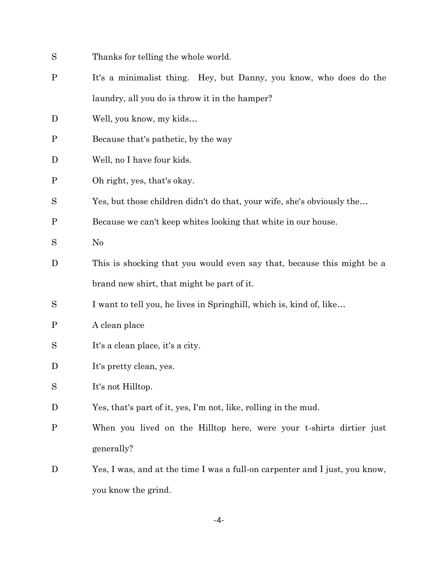S Thanks for telling the whole world. P It's a minimalist thing. Hey, but Danny, you know, who does do the laundry, all you do is throw it in the hamper? D Well, you know, my kids... P Because that's pathetic, by the way D Well, no I have four kids. P Oh right, yes, that's okay. S Yes, but those children didn't do that, your wife, she's obviously the... P Because we can't keep whites looking that white in our house. S No D This is shocking that you would even say that, because this might be a brand new shirt, that might be part of it. S I want to tell you, he lives in Springhill, which is, kind of, like... P A clean place S It's a clean place, it's a city. D It's pretty clean, yes. S It's not Hilltop. D Yes, that's part of it, yes, I'm not, like, rolling in the mud. P When you lived on the Hilltop here, were your t-shirts dirtier just generally? D Yes, I was, and at the time I was a full-on carpenter and I just, you know,

-4-

you know the grind.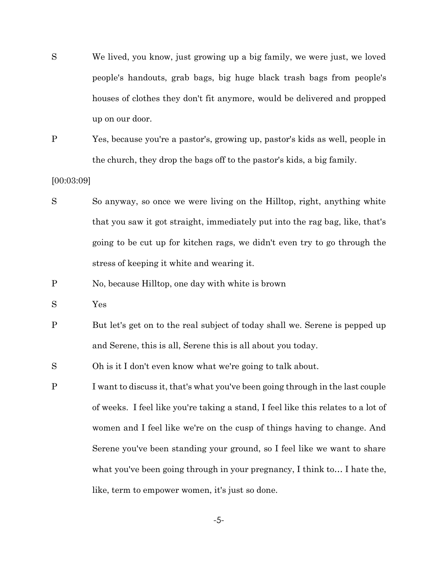- S We lived, you know, just growing up a big family, we were just, we loved people's handouts, grab bags, big huge black trash bags from people's houses of clothes they don't fit anymore, would be delivered and propped up on our door.
- P Yes, because you're a pastor's, growing up, pastor's kids as well, people in the church, they drop the bags off to the pastor's kids, a big family.

## [00:03:09]

- S So anyway, so once we were living on the Hilltop, right, anything white that you saw it got straight, immediately put into the rag bag, like, that's going to be cut up for kitchen rags, we didn't even try to go through the stress of keeping it white and wearing it.
- P No, because Hilltop, one day with white is brown
- S Yes
- P But let's get on to the real subject of today shall we. Serene is pepped up and Serene, this is all, Serene this is all about you today.

S Oh is it I don't even know what we're going to talk about.

P I want to discuss it, that's what you've been going through in the last couple of weeks. I feel like you're taking a stand, I feel like this relates to a lot of women and I feel like we're on the cusp of things having to change. And Serene you've been standing your ground, so I feel like we want to share what you've been going through in your pregnancy, I think to… I hate the, like, term to empower women, it's just so done.

-5-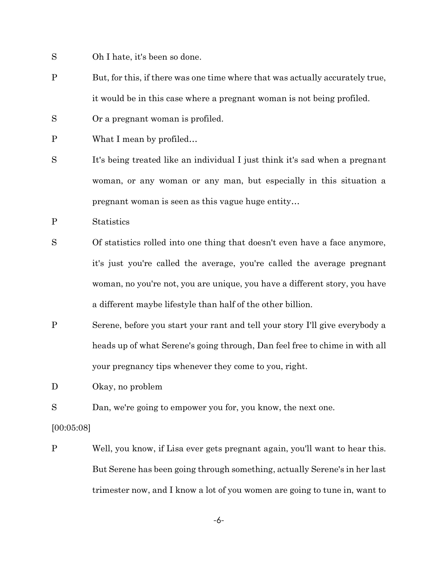- S Oh I hate, it's been so done.
- P But, for this, if there was one time where that was actually accurately true, it would be in this case where a pregnant woman is not being profiled.
- S Or a pregnant woman is profiled.
- P What I mean by profiled...
- S It's being treated like an individual I just think it's sad when a pregnant woman, or any woman or any man, but especially in this situation a pregnant woman is seen as this vague huge entity…
- P Statistics
- S Of statistics rolled into one thing that doesn't even have a face anymore, it's just you're called the average, you're called the average pregnant woman, no you're not, you are unique, you have a different story, you have a different maybe lifestyle than half of the other billion.
- P Serene, before you start your rant and tell your story I'll give everybody a heads up of what Serene's going through, Dan feel free to chime in with all your pregnancy tips whenever they come to you, right.

D Okay, no problem

S Dan, we're going to empower you for, you know, the next one.

[00:05:08]

P Well, you know, if Lisa ever gets pregnant again, you'll want to hear this. But Serene has been going through something, actually Serene's in her last trimester now, and I know a lot of you women are going to tune in, want to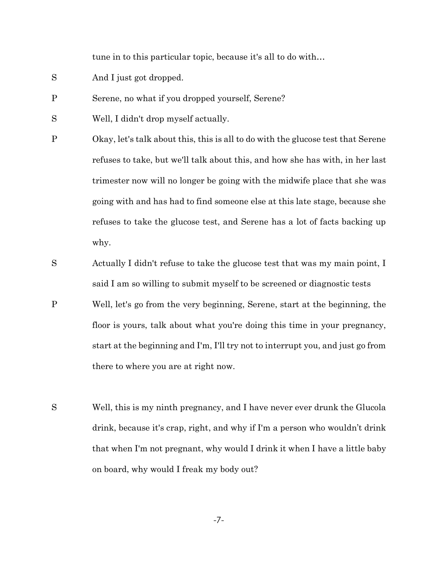tune in to this particular topic, because it's all to do with…

- S And I just got dropped.
- P Serene, no what if you dropped yourself, Serene?
- S Well, I didn't drop myself actually.
- P Okay, let's talk about this, this is all to do with the glucose test that Serene refuses to take, but we'll talk about this, and how she has with, in her last trimester now will no longer be going with the midwife place that she was going with and has had to find someone else at this late stage, because she refuses to take the glucose test, and Serene has a lot of facts backing up why.
- S Actually I didn't refuse to take the glucose test that was my main point, I said I am so willing to submit myself to be screened or diagnostic tests
- P Well, let's go from the very beginning, Serene, start at the beginning, the floor is yours, talk about what you're doing this time in your pregnancy, start at the beginning and I'm, I'll try not to interrupt you, and just go from there to where you are at right now.
- S Well, this is my ninth pregnancy, and I have never ever drunk the Glucola drink, because it's crap, right, and why if I'm a person who wouldn't drink that when I'm not pregnant, why would I drink it when I have a little baby on board, why would I freak my body out?

-7-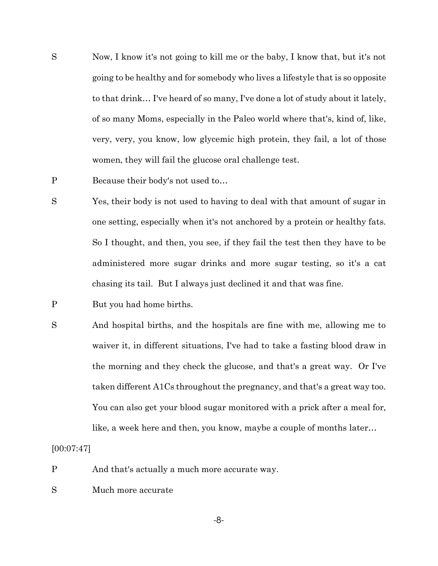- S Now, I know it's not going to kill me or the baby, I know that, but it's not going to be healthy and for somebody who lives a lifestyle that is so opposite to that drink… I've heard of so many, I've done a lot of study about it lately, of so many Moms, especially in the Paleo world where that's, kind of, like, very, very, you know, low glycemic high protein, they fail, a lot of those women, they will fail the glucose oral challenge test.
- P Because their body's not used to...
- S Yes, their body is not used to having to deal with that amount of sugar in one setting, especially when it's not anchored by a protein or healthy fats. So I thought, and then, you see, if they fail the test then they have to be administered more sugar drinks and more sugar testing, so it's a cat chasing its tail. But I always just declined it and that was fine.
- P But you had home births.
- S And hospital births, and the hospitals are fine with me, allowing me to waiver it, in different situations, I've had to take a fasting blood draw in the morning and they check the glucose, and that's a great way. Or I've taken different A1Cs throughout the pregnancy, and that's a great way too. You can also get your blood sugar monitored with a prick after a meal for, like, a week here and then, you know, maybe a couple of months later…

[00:07:47]

- P And that's actually a much more accurate way.
- S Much more accurate

-8-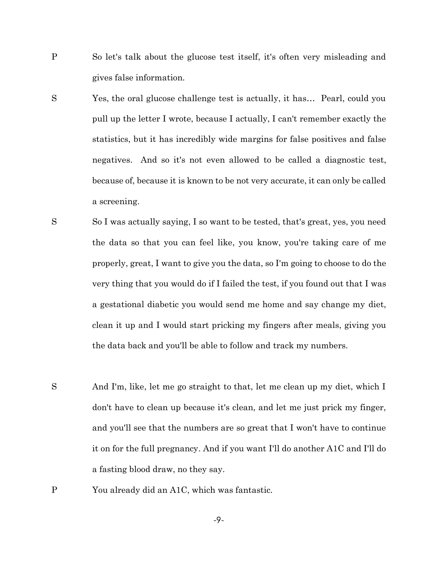- P So let's talk about the glucose test itself, it's often very misleading and gives false information.
- S Yes, the oral glucose challenge test is actually, it has… Pearl, could you pull up the letter I wrote, because I actually, I can't remember exactly the statistics, but it has incredibly wide margins for false positives and false negatives. And so it's not even allowed to be called a diagnostic test, because of, because it is known to be not very accurate, it can only be called a screening.
- S So I was actually saying, I so want to be tested, that's great, yes, you need the data so that you can feel like, you know, you're taking care of me properly, great, I want to give you the data, so I'm going to choose to do the very thing that you would do if I failed the test, if you found out that I was a gestational diabetic you would send me home and say change my diet, clean it up and I would start pricking my fingers after meals, giving you the data back and you'll be able to follow and track my numbers.
- S And I'm, like, let me go straight to that, let me clean up my diet, which I don't have to clean up because it's clean, and let me just prick my finger, and you'll see that the numbers are so great that I won't have to continue it on for the full pregnancy. And if you want I'll do another A1C and I'll do a fasting blood draw, no they say.
- P You already did an A1C, which was fantastic.

-9-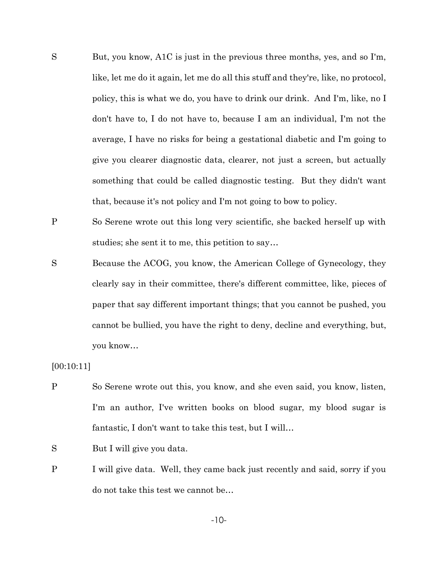- S But, you know, A1C is just in the previous three months, yes, and so I'm, like, let me do it again, let me do all this stuff and they're, like, no protocol, policy, this is what we do, you have to drink our drink. And I'm, like, no I don't have to, I do not have to, because I am an individual, I'm not the average, I have no risks for being a gestational diabetic and I'm going to give you clearer diagnostic data, clearer, not just a screen, but actually something that could be called diagnostic testing. But they didn't want that, because it's not policy and I'm not going to bow to policy.
- P So Serene wrote out this long very scientific, she backed herself up with studies; she sent it to me, this petition to say…
- S Because the ACOG, you know, the American College of Gynecology, they clearly say in their committee, there's different committee, like, pieces of paper that say different important things; that you cannot be pushed, you cannot be bullied, you have the right to deny, decline and everything, but, you know…

[00:10:11]

P So Serene wrote out this, you know, and she even said, you know, listen, I'm an author, I've written books on blood sugar, my blood sugar is fantastic, I don't want to take this test, but I will…

S But I will give you data.

P I will give data. Well, they came back just recently and said, sorry if you do not take this test we cannot be…

-10-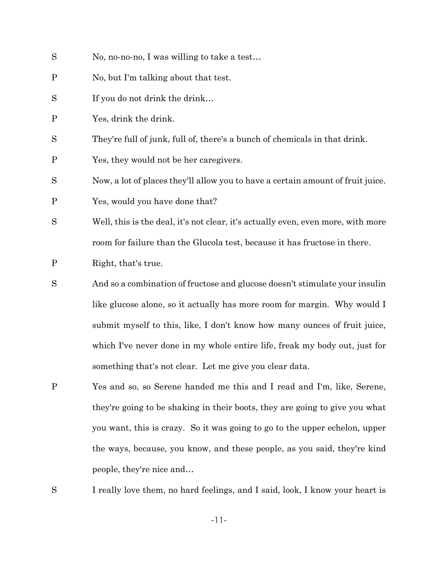- S No, no-no-no, I was willing to take a test...
- P No, but I'm talking about that test.
- S If you do not drink the drink...
- P Yes, drink the drink.
- S They're full of junk, full of, there's a bunch of chemicals in that drink.
- P Yes, they would not be her caregivers.

S Now, a lot of places they'll allow you to have a certain amount of fruit juice.

P Yes, would you have done that?

- S Well, this is the deal, it's not clear, it's actually even, even more, with more room for failure than the Glucola test, because it has fructose in there.
- P Right, that's true.
- S And so a combination of fructose and glucose doesn't stimulate your insulin like glucose alone, so it actually has more room for margin. Why would I submit myself to this, like, I don't know how many ounces of fruit juice, which I've never done in my whole entire life, freak my body out, just for something that's not clear. Let me give you clear data.
- P Yes and so, so Serene handed me this and I read and I'm, like, Serene, they're going to be shaking in their boots, they are going to give you what you want, this is crazy. So it was going to go to the upper echelon, upper the ways, because, you know, and these people, as you said, they're kind people, they're nice and…

S I really love them, no hard feelings, and I said, look, I know your heart is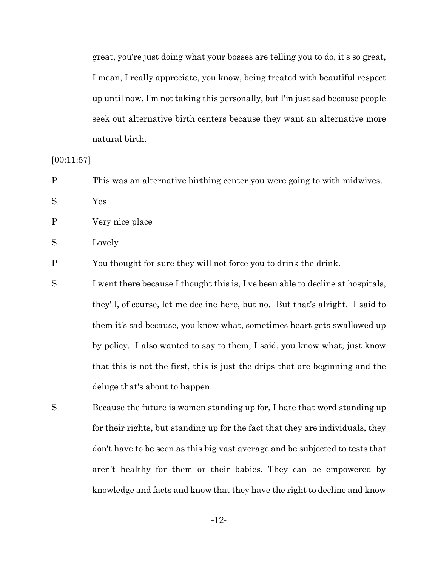great, you're just doing what your bosses are telling you to do, it's so great, I mean, I really appreciate, you know, being treated with beautiful respect up until now, I'm not taking this personally, but I'm just sad because people seek out alternative birth centers because they want an alternative more natural birth.

[00:11:57]

P This was an alternative birthing center you were going to with midwives.

S Yes

P Very nice place

S Lovely

P You thought for sure they will not force you to drink the drink.

S I went there because I thought this is, I've been able to decline at hospitals, they'll, of course, let me decline here, but no. But that's alright. I said to them it's sad because, you know what, sometimes heart gets swallowed up by policy. I also wanted to say to them, I said, you know what, just know that this is not the first, this is just the drips that are beginning and the deluge that's about to happen.

S Because the future is women standing up for, I hate that word standing up for their rights, but standing up for the fact that they are individuals, they don't have to be seen as this big vast average and be subjected to tests that aren't healthy for them or their babies. They can be empowered by knowledge and facts and know that they have the right to decline and know

-12-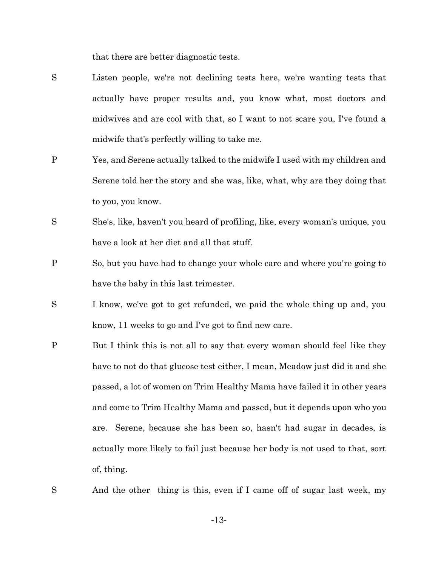that there are better diagnostic tests.

- S Listen people, we're not declining tests here, we're wanting tests that actually have proper results and, you know what, most doctors and midwives and are cool with that, so I want to not scare you, I've found a midwife that's perfectly willing to take me.
- P Yes, and Serene actually talked to the midwife I used with my children and Serene told her the story and she was, like, what, why are they doing that to you, you know.
- S She's, like, haven't you heard of profiling, like, every woman's unique, you have a look at her diet and all that stuff.
- P So, but you have had to change your whole care and where you're going to have the baby in this last trimester.
- S I know, we've got to get refunded, we paid the whole thing up and, you know, 11 weeks to go and I've got to find new care.
- P But I think this is not all to say that every woman should feel like they have to not do that glucose test either, I mean, Meadow just did it and she passed, a lot of women on Trim Healthy Mama have failed it in other years and come to Trim Healthy Mama and passed, but it depends upon who you are. Serene, because she has been so, hasn't had sugar in decades, is actually more likely to fail just because her body is not used to that, sort of, thing.
- S And the other thing is this, even if I came off of sugar last week, my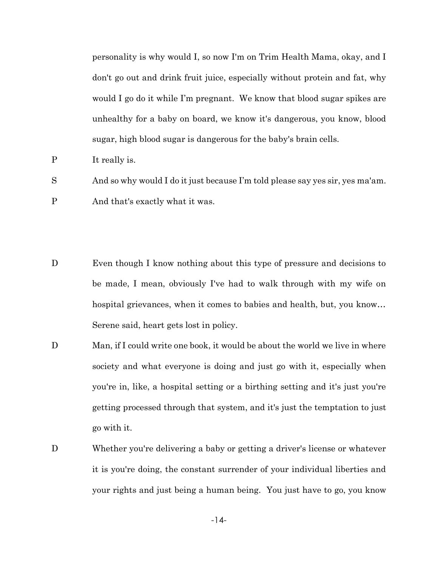personality is why would I, so now I'm on Trim Health Mama, okay, and I don't go out and drink fruit juice, especially without protein and fat, why would I go do it while I'm pregnant. We know that blood sugar spikes are unhealthy for a baby on board, we know it's dangerous, you know, blood sugar, high blood sugar is dangerous for the baby's brain cells.

P It really is.

S And so why would I do it just because I'm told please say yes sir, yes ma'am.

P And that's exactly what it was.

- D Even though I know nothing about this type of pressure and decisions to be made, I mean, obviously I've had to walk through with my wife on hospital grievances, when it comes to babies and health, but, you know… Serene said, heart gets lost in policy.
- D Man, if I could write one book, it would be about the world we live in where society and what everyone is doing and just go with it, especially when you're in, like, a hospital setting or a birthing setting and it's just you're getting processed through that system, and it's just the temptation to just go with it.
- D Whether you're delivering a baby or getting a driver's license or whatever it is you're doing, the constant surrender of your individual liberties and your rights and just being a human being. You just have to go, you know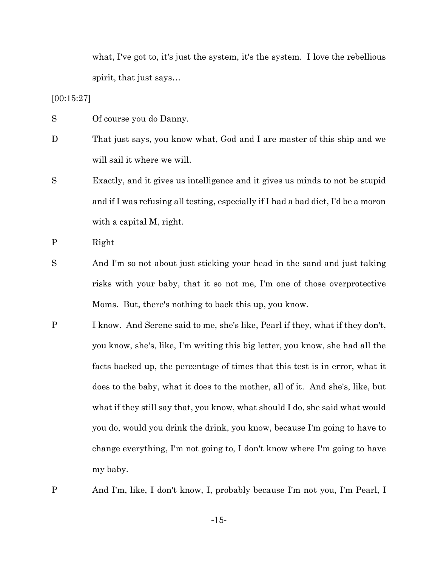what, I've got to, it's just the system, it's the system. I love the rebellious spirit, that just says…

[00:15:27]

- S Of course you do Danny.
- D That just says, you know what, God and I are master of this ship and we will sail it where we will.
- S Exactly, and it gives us intelligence and it gives us minds to not be stupid and if I was refusing all testing, especially if I had a bad diet, I'd be a moron with a capital M, right.

P Right

- S And I'm so not about just sticking your head in the sand and just taking risks with your baby, that it so not me, I'm one of those overprotective Moms. But, there's nothing to back this up, you know.
- P I know. And Serene said to me, she's like, Pearl if they, what if they don't, you know, she's, like, I'm writing this big letter, you know, she had all the facts backed up, the percentage of times that this test is in error, what it does to the baby, what it does to the mother, all of it. And she's, like, but what if they still say that, you know, what should I do, she said what would you do, would you drink the drink, you know, because I'm going to have to change everything, I'm not going to, I don't know where I'm going to have my baby.
- P And I'm, like, I don't know, I, probably because I'm not you, I'm Pearl, I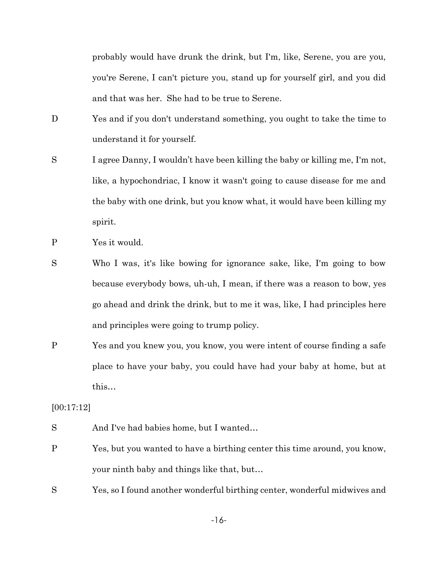probably would have drunk the drink, but I'm, like, Serene, you are you, you're Serene, I can't picture you, stand up for yourself girl, and you did and that was her. She had to be true to Serene.

- D Yes and if you don't understand something, you ought to take the time to understand it for yourself.
- S I agree Danny, I wouldn't have been killing the baby or killing me, I'm not, like, a hypochondriac, I know it wasn't going to cause disease for me and the baby with one drink, but you know what, it would have been killing my spirit.
- P Yes it would.
- S Who I was, it's like bowing for ignorance sake, like, I'm going to bow because everybody bows, uh-uh, I mean, if there was a reason to bow, yes go ahead and drink the drink, but to me it was, like, I had principles here and principles were going to trump policy.
- P Yes and you knew you, you know, you were intent of course finding a safe place to have your baby, you could have had your baby at home, but at this…

[00:17:12]

- S And I've had babies home, but I wanted...
- P Yes, but you wanted to have a birthing center this time around, you know, your ninth baby and things like that, but…
- S Yes, so I found another wonderful birthing center, wonderful midwives and

-16-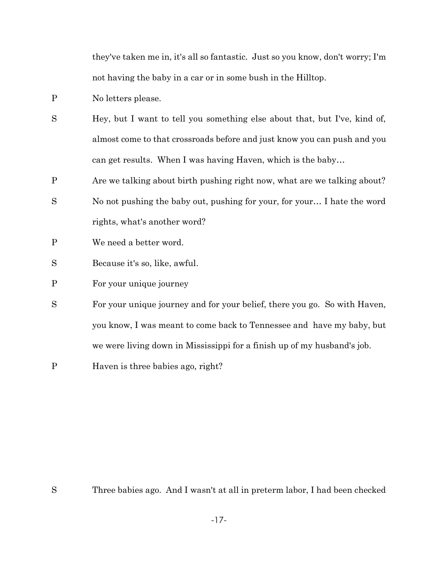they've taken me in, it's all so fantastic. Just so you know, don't worry; I'm not having the baby in a car or in some bush in the Hilltop.

- P No letters please.
- S Hey, but I want to tell you something else about that, but I've, kind of, almost come to that crossroads before and just know you can push and you can get results. When I was having Haven, which is the baby…
- P Are we talking about birth pushing right now, what are we talking about?
- S No not pushing the baby out, pushing for your, for your… I hate the word rights, what's another word?
- P We need a better word.
- S Because it's so, like, awful.
- P For your unique journey
- S For your unique journey and for your belief, there you go. So with Haven, you know, I was meant to come back to Tennessee and have my baby, but we were living down in Mississippi for a finish up of my husband's job.
- P Haven is three babies ago, right?

S Three babies ago. And I wasn't at all in preterm labor, I had been checked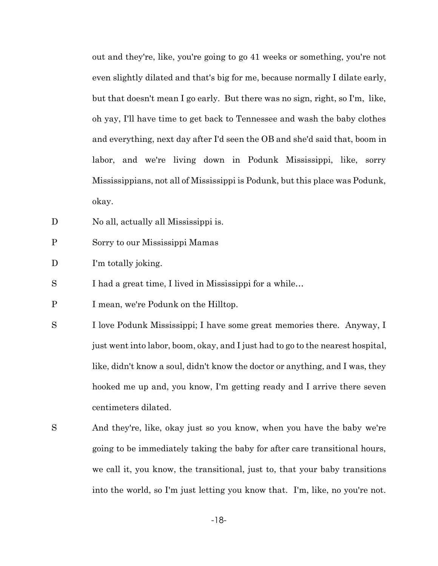out and they're, like, you're going to go 41 weeks or something, you're not even slightly dilated and that's big for me, because normally I dilate early, but that doesn't mean I go early. But there was no sign, right, so I'm, like, oh yay, I'll have time to get back to Tennessee and wash the baby clothes and everything, next day after I'd seen the OB and she'd said that, boom in labor, and we're living down in Podunk Mississippi, like, sorry Mississippians, not all of Mississippi is Podunk, but this place was Podunk, okay.

- D No all, actually all Mississippi is.
- P Sorry to our Mississippi Mamas
- D I'm totally joking.
- S I had a great time, I lived in Mississippi for a while...
- P I mean, we're Podunk on the Hilltop.
- S I love Podunk Mississippi; I have some great memories there. Anyway, I just went into labor, boom, okay, and I just had to go to the nearest hospital, like, didn't know a soul, didn't know the doctor or anything, and I was, they hooked me up and, you know, I'm getting ready and I arrive there seven centimeters dilated.
- S And they're, like, okay just so you know, when you have the baby we're going to be immediately taking the baby for after care transitional hours, we call it, you know, the transitional, just to, that your baby transitions into the world, so I'm just letting you know that. I'm, like, no you're not.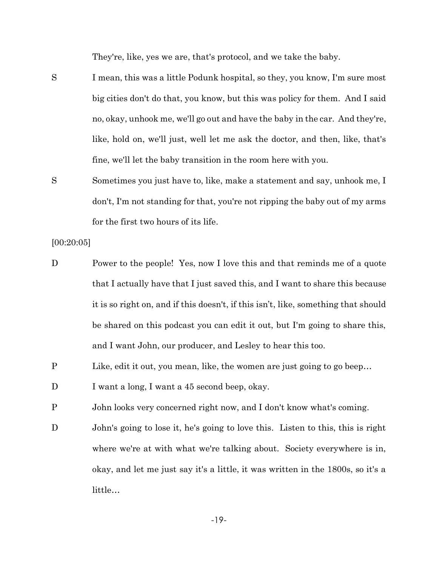They're, like, yes we are, that's protocol, and we take the baby.

S I mean, this was a little Podunk hospital, so they, you know, I'm sure most big cities don't do that, you know, but this was policy for them. And I said no, okay, unhook me, we'll go out and have the baby in the car. And they're, like, hold on, we'll just, well let me ask the doctor, and then, like, that's fine, we'll let the baby transition in the room here with you.

S Sometimes you just have to, like, make a statement and say, unhook me, I don't, I'm not standing for that, you're not ripping the baby out of my arms for the first two hours of its life.

[00:20:05]

- D Power to the people! Yes, now I love this and that reminds me of a quote that I actually have that I just saved this, and I want to share this because it is so right on, and if this doesn't, if this isn't, like, something that should be shared on this podcast you can edit it out, but I'm going to share this, and I want John, our producer, and Lesley to hear this too.
- P Like, edit it out, you mean, like, the women are just going to go beep...
- D I want a long, I want a 45 second beep, okay.
- P John looks very concerned right now, and I don't know what's coming.
- D John's going to lose it, he's going to love this. Listen to this, this is right where we're at with what we're talking about. Society everywhere is in, okay, and let me just say it's a little, it was written in the 1800s, so it's a little…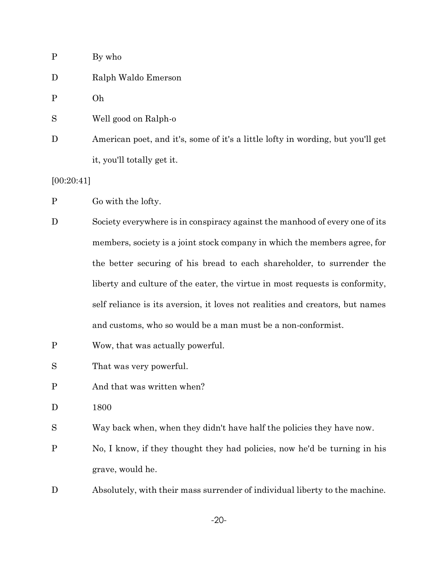| $\mathbf{P}$ | By who                                                                          |
|--------------|---------------------------------------------------------------------------------|
| D            | Ralph Waldo Emerson                                                             |
| P            | Oh                                                                              |
| S            | Well good on Ralph-o                                                            |
| D            | American poet, and it's, some of it's a little lofty in wording, but you'll get |
|              | it, you'll totally get it.                                                      |

[00:20:41]

P Go with the lofty.

- D Society everywhere is in conspiracy against the manhood of every one of its members, society is a joint stock company in which the members agree, for the better securing of his bread to each shareholder, to surrender the liberty and culture of the eater, the virtue in most requests is conformity, self reliance is its aversion, it loves not realities and creators, but names and customs, who so would be a man must be a non-conformist.
- P Wow, that was actually powerful.

S That was very powerful.

- P And that was written when?
- D 1800

S Way back when, when they didn't have half the policies they have now.

P No, I know, if they thought they had policies, now he'd be turning in his grave, would he.

D Absolutely, with their mass surrender of individual liberty to the machine.

-20-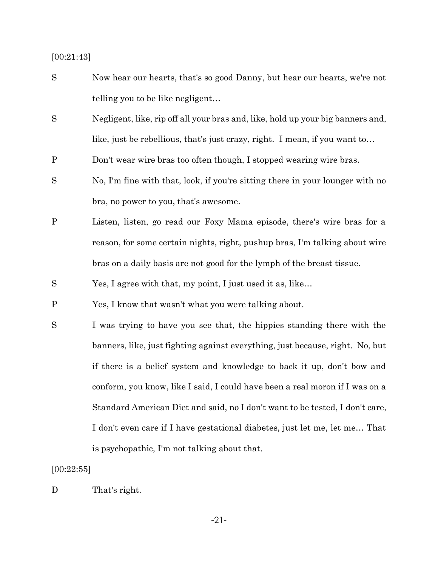## [00:21:43]

- S Now hear our hearts, that's so good Danny, but hear our hearts, we're not telling you to be like negligent…
- S Negligent, like, rip off all your bras and, like, hold up your big banners and, like, just be rebellious, that's just crazy, right. I mean, if you want to…
- P Don't wear wire bras too often though, I stopped wearing wire bras.
- S No, I'm fine with that, look, if you're sitting there in your lounger with no bra, no power to you, that's awesome.
- P Listen, listen, go read our Foxy Mama episode, there's wire bras for a reason, for some certain nights, right, pushup bras, I'm talking about wire bras on a daily basis are not good for the lymph of the breast tissue.
- S Yes, I agree with that, my point, I just used it as, like…

P Yes, I know that wasn't what you were talking about.

S I was trying to have you see that, the hippies standing there with the banners, like, just fighting against everything, just because, right. No, but if there is a belief system and knowledge to back it up, don't bow and conform, you know, like I said, I could have been a real moron if I was on a Standard American Diet and said, no I don't want to be tested, I don't care, I don't even care if I have gestational diabetes, just let me, let me… That is psychopathic, I'm not talking about that.

#### [00:22:55]

D That's right.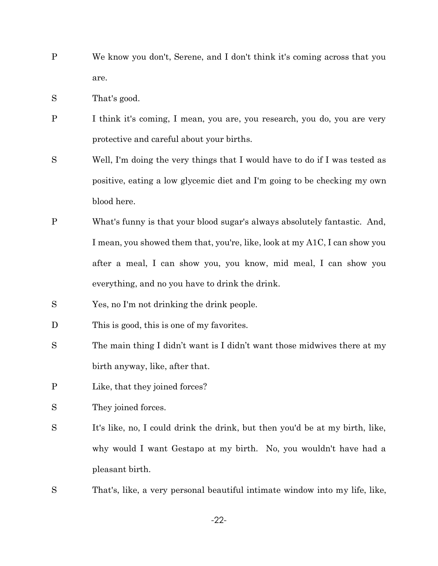- P We know you don't, Serene, and I don't think it's coming across that you are.
- S That's good.
- P I think it's coming, I mean, you are, you research, you do, you are very protective and careful about your births.
- S Well, I'm doing the very things that I would have to do if I was tested as positive, eating a low glycemic diet and I'm going to be checking my own blood here.
- P What's funny is that your blood sugar's always absolutely fantastic. And, I mean, you showed them that, you're, like, look at my A1C, I can show you after a meal, I can show you, you know, mid meal, I can show you everything, and no you have to drink the drink.
- S Yes, no I'm not drinking the drink people.
- D This is good, this is one of my favorites.
- S The main thing I didn't want is I didn't want those midwives there at my birth anyway, like, after that.
- P Like, that they joined forces?
- S They joined forces.
- S It's like, no, I could drink the drink, but then you'd be at my birth, like, why would I want Gestapo at my birth. No, you wouldn't have had a pleasant birth.
- S That's, like, a very personal beautiful intimate window into my life, like,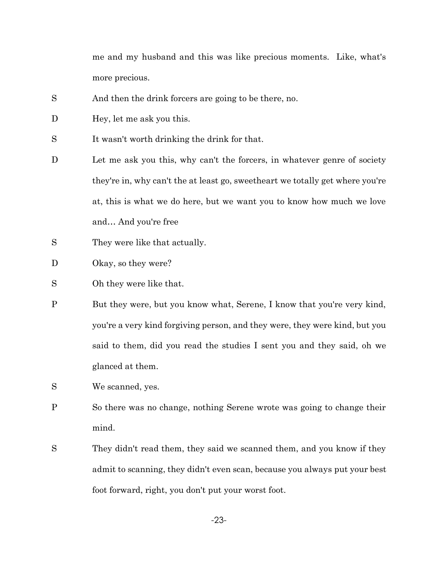me and my husband and this was like precious moments. Like, what's more precious.

- S And then the drink forcers are going to be there, no.
- D Hey, let me ask you this.
- S It wasn't worth drinking the drink for that.
- D Let me ask you this, why can't the forcers, in whatever genre of society they're in, why can't the at least go, sweetheart we totally get where you're at, this is what we do here, but we want you to know how much we love and… And you're free
- S They were like that actually.
- D Okay, so they were?
- S Oh they were like that.
- P But they were, but you know what, Serene, I know that you're very kind, you're a very kind forgiving person, and they were, they were kind, but you said to them, did you read the studies I sent you and they said, oh we glanced at them.
- S We scanned, yes.
- P So there was no change, nothing Serene wrote was going to change their mind.
- S They didn't read them, they said we scanned them, and you know if they admit to scanning, they didn't even scan, because you always put your best foot forward, right, you don't put your worst foot.

-23-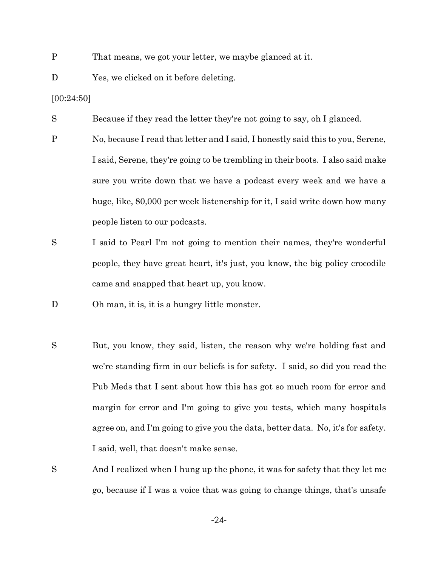- P That means, we got your letter, we maybe glanced at it.
- D Yes, we clicked on it before deleting.

[00:24:50]

S Because if they read the letter they're not going to say, oh I glanced.

- P No, because I read that letter and I said, I honestly said this to you, Serene, I said, Serene, they're going to be trembling in their boots. I also said make sure you write down that we have a podcast every week and we have a huge, like, 80,000 per week listenership for it, I said write down how many people listen to our podcasts.
- S I said to Pearl I'm not going to mention their names, they're wonderful people, they have great heart, it's just, you know, the big policy crocodile came and snapped that heart up, you know.
- D Oh man, it is, it is a hungry little monster.
- S But, you know, they said, listen, the reason why we're holding fast and we're standing firm in our beliefs is for safety. I said, so did you read the Pub Meds that I sent about how this has got so much room for error and margin for error and I'm going to give you tests, which many hospitals agree on, and I'm going to give you the data, better data. No, it's for safety. I said, well, that doesn't make sense.
- S And I realized when I hung up the phone, it was for safety that they let me go, because if I was a voice that was going to change things, that's unsafe

-24-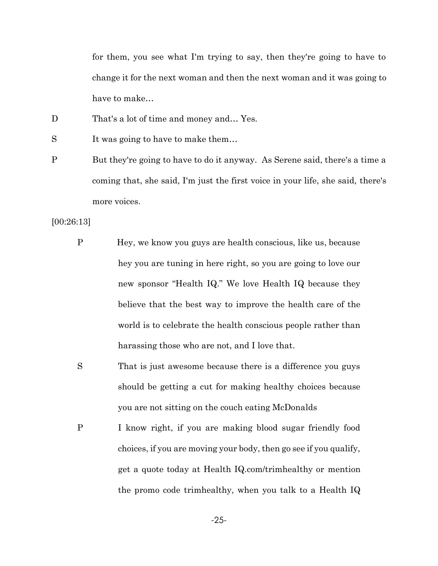for them, you see what I'm trying to say, then they're going to have to change it for the next woman and then the next woman and it was going to have to make…

- D That's a lot of time and money and... Yes.
- S It was going to have to make them...
- P But they're going to have to do it anyway. As Serene said, there's a time a coming that, she said, I'm just the first voice in your life, she said, there's more voices.

[00:26:13]

- P Hey, we know you guys are health conscious, like us, because hey you are tuning in here right, so you are going to love our new sponsor "Health IQ." We love Health IQ because they believe that the best way to improve the health care of the world is to celebrate the health conscious people rather than harassing those who are not, and I love that.
- S That is just awe some because there is a difference you guys should be getting a cut for making healthy choices because you are not sitting on the couch eating McDonalds
- P I know right, if you are making blood sugar friendly food choices, if you are moving your body, then go see if you qualify, get a quote today at Health IQ.com/trimhealthy or mention the promo code trimhealthy, when you talk to a Health IQ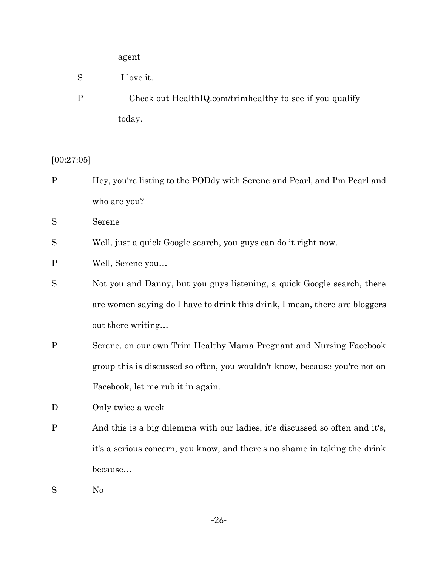# agent

- S I love it.
- P Check out HealthIQ.com/trimhealthy to see if you qualify today.

[00:27:05]

P Hey, you're listing to the PODdy with Serene and Pearl, and I'm Pearl and who are you?

S Serene

S Well, just a quick Google search, you guys can do it right now.

- P Well, Serene you…
- S Not you and Danny, but you guys listening, a quick Google search, there are women saying do I have to drink this drink, I mean, there are bloggers out there writing…
- P Serene, on our own Trim Healthy Mama Pregnant and Nursing Facebook group this is discussed so often, you wouldn't know, because you're not on Facebook, let me rub it in again.
- D Only twice a week
- P And this is a big dilemma with our ladies, it's discussed so often and it's, it's a serious concern, you know, and there's no shame in taking the drink because…
- S No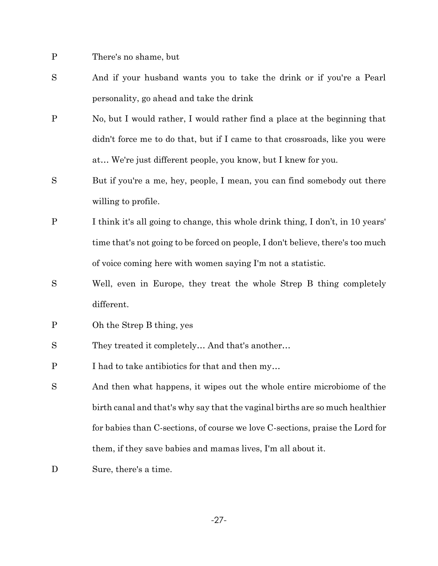P There's no shame, but

- S And if your husband wants you to take the drink or if you're a Pearl personality, go ahead and take the drink
- P No, but I would rather, I would rather find a place at the beginning that didn't force me to do that, but if I came to that crossroads, like you were at… We're just different people, you know, but I knew for you.
- S But if you're a me, hey, people, I mean, you can find somebody out there willing to profile.
- P I think it's all going to change, this whole drink thing, I don't, in 10 years' time that's not going to be forced on people, I don't believe, there's too much of voice coming here with women saying I'm not a statistic.
- S Well, even in Europe, they treat the whole Strep B thing completely different.
- P Oh the Strep B thing, yes
- S They treated it completely… And that's another…
- P I had to take antibiotics for that and then my…
- S And then what happens, it wipes out the whole entire microbiome of the birth canal and that's why say that the vaginal births are so much healthier for babies than C-sections, of course we love C-sections, praise the Lord for them, if they save babies and mamas lives, I'm all about it.
- D Sure, there's a time.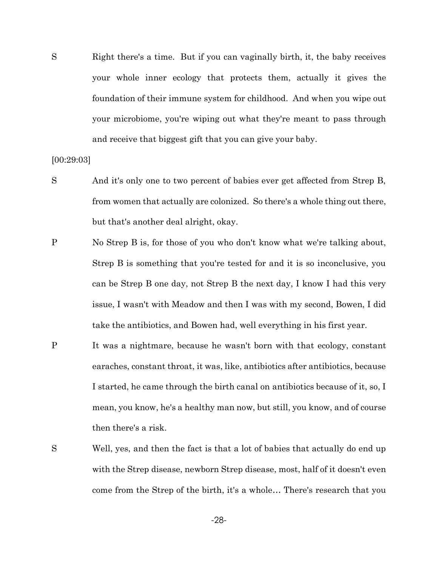S Right there's a time. But if you can vaginally birth, it, the baby receives your whole inner ecology that protects them, actually it gives the foundation of their immune system for childhood. And when you wipe out your microbiome, you're wiping out what they're meant to pass through and receive that biggest gift that you can give your baby.

[00:29:03]

- S And it's only one to two percent of babies ever get affected from Strep B, from women that actually are colonized. So there's a whole thing out there, but that's another deal alright, okay.
- P No Strep B is, for those of you who don't know what we're talking about, Strep B is something that you're tested for and it is so inconclusive, you can be Strep B one day, not Strep B the next day, I know I had this very issue, I wasn't with Meadow and then I was with my second, Bowen, I did take the antibiotics, and Bowen had, well everything in his first year.
- P It was a nightmare, because he wasn't born with that ecology, constant earaches, constant throat, it was, like, antibiotics after antibiotics, because I started, he came through the birth canal on antibiotics because of it, so, I mean, you know, he's a healthy man now, but still, you know, and of course then there's a risk.
- S Well, yes, and then the fact is that a lot of babies that actually do end up with the Strep disease, newborn Strep disease, most, half of it doesn't even come from the Strep of the birth, it's a whole… There's research that you

-28-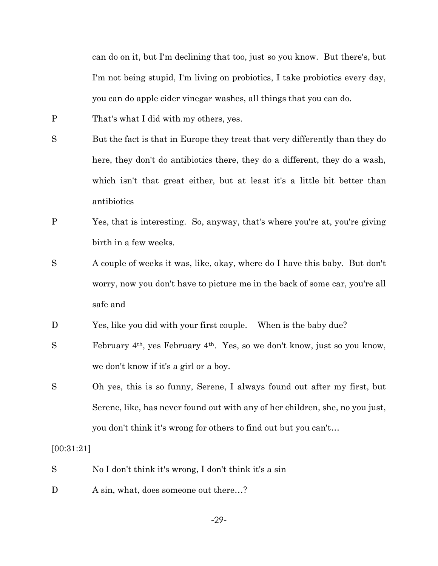can do on it, but I'm declining that too, just so you know. But there's, but I'm not being stupid, I'm living on probiotics, I take probiotics every day, you can do apple cider vinegar washes, all things that you can do.

- P That's what I did with my others, yes.
- S But the fact is that in Europe they treat that very differently than they do here, they don't do antibiotics there, they do a different, they do a wash, which isn't that great either, but at least it's a little bit better than antibiotics
- P Yes, that is interesting. So, anyway, that's where you're at, you're giving birth in a few weeks.
- S A couple of weeks it was, like, okay, where do I have this baby. But don't worry, now you don't have to picture me in the back of some car, you're all safe and
- D Yes, like you did with your first couple. When is the baby due?
- S February 4th, yes February 4th. Yes, so we don't know, just so you know, we don't know if it's a girl or a boy.
- S Oh yes, this is so funny, Serene, I always found out after my first, but Serene, like, has never found out with any of her children, she, no you just, you don't think it's wrong for others to find out but you can't…

# [00:31:21]

- S No I don't think it's wrong, I don't think it's a sin
- D A sin, what, does some out there...?

-29-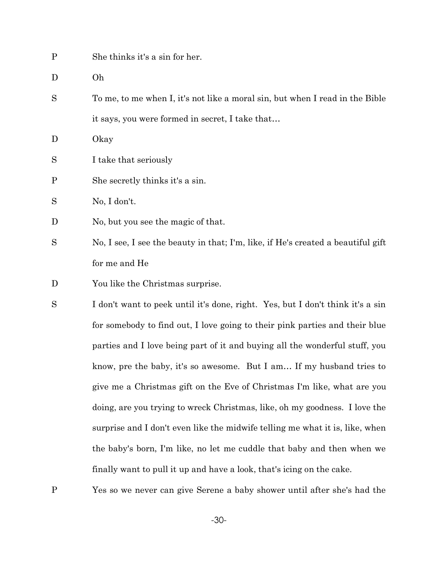| P            | She thinks it's a sin for her.                                               |
|--------------|------------------------------------------------------------------------------|
| D            | Oh                                                                           |
| S            | To me, to me when I, it's not like a moral sin, but when I read in the Bible |
|              | it says, you were formed in secret, I take that                              |
| D            | Okay                                                                         |
| S            | I take that seriously                                                        |
| $\mathbf{P}$ | She secretly thinks it's a sin.                                              |
| S            | No, I don't.                                                                 |
| D            | No, but you see the magic of that.                                           |

- S No, I see, I see the beauty in that; I'm, like, if He's created a beautiful gift for me and He
- D You like the Christmas surprise.
- S I don't want to peek until it's done, right. Yes, but I don't think it's a sin for somebody to find out, I love going to their pink parties and their blue parties and I love being part of it and buying all the wonderful stuff, you know, pre the baby, it's so awesome. But I am… If my husband tries to give me a Christmas gift on the Eve of Christmas I'm like, what are you doing, are you trying to wreck Christmas, like, oh my goodness. I love the surprise and I don't even like the midwife telling me what it is, like, when the baby's born, I'm like, no let me cuddle that baby and then when we finally want to pull it up and have a look, that's icing on the cake.

P Yes so we never can give Serene a baby shower until after she's had the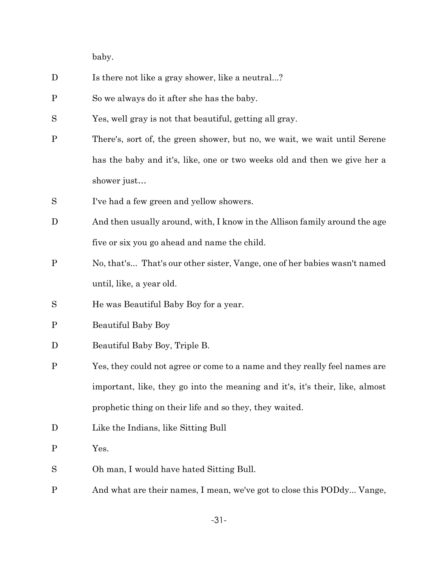baby.

- D Is there not like a gray shower, like a neutral...?
- P So we always do it after she has the baby.
- S Yes, well gray is not that beautiful, getting all gray.
- P There's, sort of, the green shower, but no, we wait, we wait until Serene has the baby and it's, like, one or two weeks old and then we give her a shower just…
- S I've had a few green and yellow showers.
- D And then usually around, with, I know in the Allison family around the age five or six you go ahead and name the child.
- P No, that's... That's our other sister, Vange, one of her babies wasn't named until, like, a year old.
- S He was Beautiful Baby Boy for a year.
- P Beautiful Baby Boy
- D Beautiful Baby Boy, Triple B.
- P Yes, they could not agree or come to a name and they really feel names are important, like, they go into the meaning and it's, it's their, like, almost prophetic thing on their life and so they, they waited.
- D Like the Indians, like Sitting Bull
- P Yes.
- S Oh man, I would have hated Sitting Bull.
- P And what are their names, I mean, we've got to close this PODdy... Vange,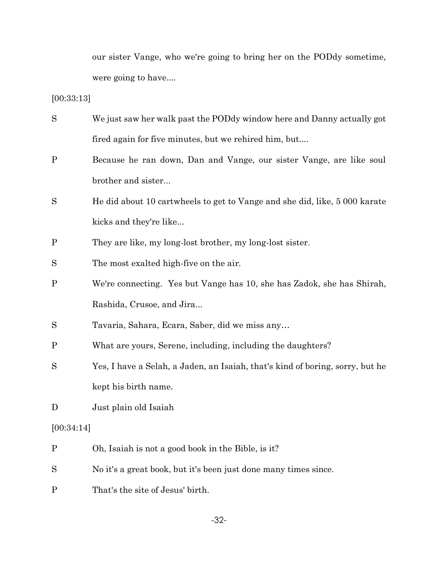our sister Vange, who we're going to bring her on the PODdy sometime, were going to have....

# [00:33:13]

| S            | We just saw her walk past the POD dy window here and Danny actually got       |
|--------------|-------------------------------------------------------------------------------|
|              | fired again for five minutes, but we rehired him, but                         |
| $\mathbf{P}$ | Because he ran down, Dan and Vange, our sister Vange, are like soul           |
|              | brother and sister                                                            |
| S            | He did about 10 cartwheels to get to Vange and she did, like, 5 000 karate    |
|              | kicks and they're like                                                        |
| $\mathbf{P}$ | They are like, my long-lost brother, my long-lost sister.                     |
| S            | The most exalted high-five on the air.                                        |
| $\mathbf{P}$ | We're connecting. Yes but Vange has 10, she has Zadok, she has Shirah,        |
|              | Rashida, Crusoe, and Jira                                                     |
| S            | Tavaria, Sahara, Ecara, Saber, did we miss any                                |
| $\mathbf P$  | What are yours, Serene, including, including the daughters?                   |
| S            | Yes, I have a Selah, a Jaden, an Isaiah, that's kind of boring, sorry, but he |
|              | kept his birth name.                                                          |
| D            | Just plain old Isaiah                                                         |
| [00:34:14]   |                                                                               |
| $\mathbf{P}$ | Oh, Isaiah is not a good book in the Bible, is it?                            |
| S            | No it's a great book, but it's been just done many times since.               |
| $\mathbf P$  | That's the site of Jesus' birth.                                              |

-32-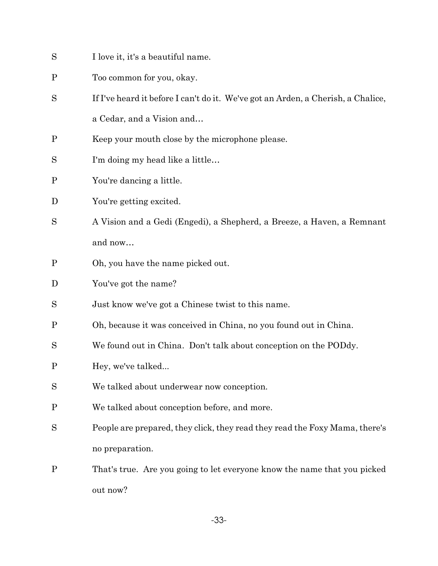- S I love it, it's a beautiful name.
- P Too common for you, okay.
- S If I've heard it before I can't do it. We've got an Arden, a Cherish, a Chalice, a Cedar, and a Vision and…
- P Keep your mouth close by the microphone please.
- S I'm doing my head like a little…
- P You're dancing a little.
- D You're getting excited.
- S A Vision and a Gedi (Engedi), a Shepherd, a Breeze, a Haven, a Remnant and now…
- P Oh, you have the name picked out.
- D You've got the name?
- S Just know we've got a Chinese twist to this name.
- P Oh, because it was conceived in China, no you found out in China.
- S We found out in China. Don't talk about conception on the PODdy.
- P Hey, we've talked...
- S We talked about underwear now conception.
- P We talked about conception before, and more.
- S People are prepared, they click, they read they read the Foxy Mama, there's no preparation.
- P That's true. Are you going to let everyone know the name that you picked out now?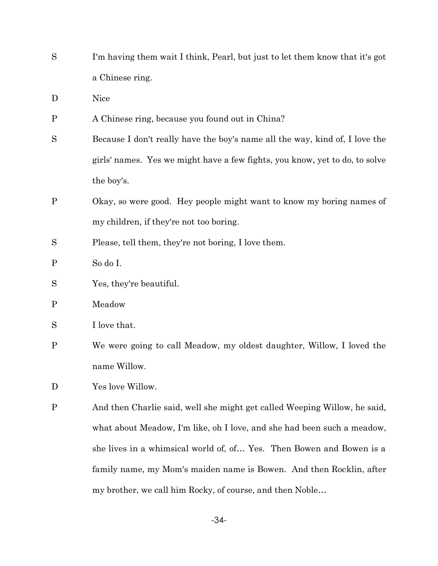S I'm having them wait I think, Pearl, but just to let them know that it's got a Chinese ring.

D Nice

- P A Chinese ring, because you found out in China?
- S Because I don't really have the boy's name all the way, kind of, I love the girls' names. Yes we might have a few fights, you know, yet to do, to solve the boy's.
- P Okay, so were good. Hey people might want to know my boring names of my children, if they're not too boring.
- S Please, tell them, they're not boring, I love them.

P So do I.

- S Yes, they're beautiful.
- P Meadow
- S I love that.
- P We were going to call Meadow, my oldest daughter, Willow, I loved the name Willow.
- D Yes love Willow.
- P And then Charlie said, well she might get called Weeping Willow, he said, what about Meadow, I'm like, oh I love, and she had been such a meadow, she lives in a whimsical world of, of… Yes. Then Bowen and Bowen is a family name, my Mom's maiden name is Bowen. And then Rocklin, after my brother, we call him Rocky, of course, and then Noble…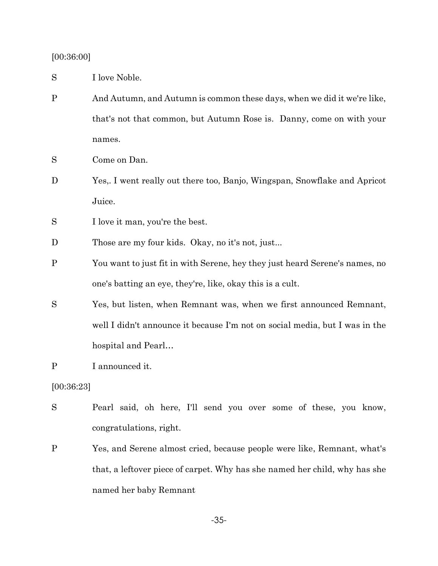# [00:36:00]

S I love Noble.

- P And Autumn, and Autumn is common these days, when we did it we're like, that's not that common, but Autumn Rose is. Danny, come on with your names.
- S Come on Dan.
- D Yes,. I went really out there too, Banjo, Wingspan, Snowflake and Apricot Juice.
- S I love it man, you're the best.
- D Those are my four kids. Okay, no it's not, just...
- P You want to just fit in with Serene, hey they just heard Serene's names, no one's batting an eye, they're, like, okay this is a cult.
- S Yes, but listen, when Remnant was, when we first announced Remnant, well I didn't announce it because I'm not on social media, but I was in the hospital and Pearl…

P I announced it.

[00:36:23]

- S Pearl said, oh here, I'll send you over some of these, you know, congratulations, right.
- P Yes, and Serene almost cried, because people were like, Remnant, what's that, a leftover piece of carpet. Why has she named her child, why has she named her baby Remnant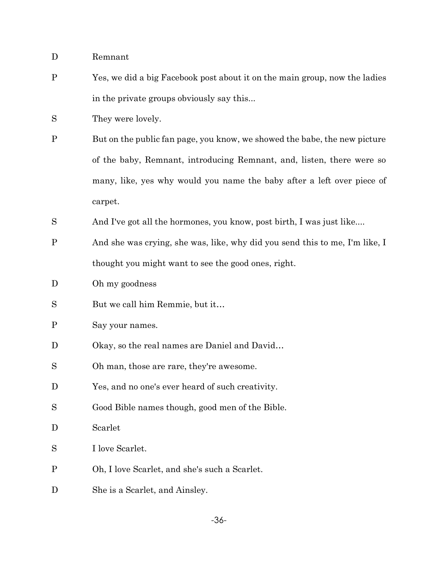- D Remnant
- P Yes, we did a big Facebook post about it on the main group, now the ladies in the private groups obviously say this...
- S They were lovely.
- P But on the public fan page, you know, we showed the babe, the new picture of the baby, Remnant, introducing Remnant, and, listen, there were so many, like, yes why would you name the baby after a left over piece of carpet.
- S And I've got all the hormones, you know, post birth, I was just like....
- P And she was crying, she was, like, why did you send this to me, I'm like, I thought you might want to see the good ones, right.
- D Oh my goodness
- S But we call him Remmie, but it…
- P Say your names.
- D Okay, so the real names are Daniel and David...
- S Oh man, those are rare, they're awesome.
- D Yes, and no one's ever heard of such creativity.
- S Good Bible names though, good men of the Bible.
- D Scarlet
- S I love Scarlet.
- P Oh, I love Scarlet, and she's such a Scarlet.
- D She is a Scarlet, and Ainsley.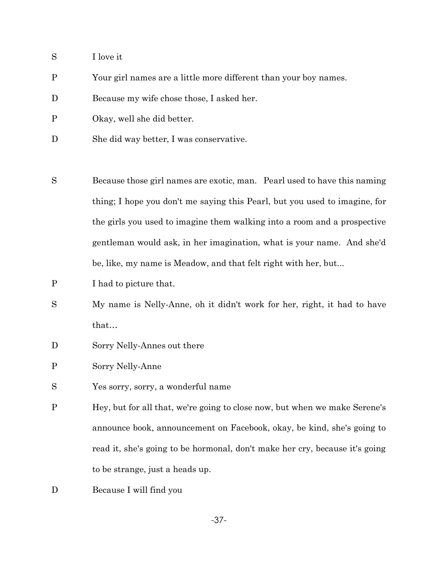- S I love it
- P Your girl names are a little more different than your boy names.
- D Because my wife chose those, I asked her.
- P Okay, well she did better.
- D She did way better, I was conservative.
- S Because those girl names are exotic, man. Pearl used to have this naming thing; I hope you don't me saying this Pearl, but you used to imagine, for the girls you used to imagine them walking into a room and a prospective gentleman would ask, in her imagination, what is your name. And she'd be, like, my name is Meadow, and that felt right with her, but...
- P I had to picture that.
- S My name is Nelly-Anne, oh it didn't work for her, right, it had to have that…
- D Sorry Nelly-Annes out there
- P Sorry Nelly-Anne
- S Yes sorry, sorry, a wonderful name
- P Hey, but for all that, we're going to close now, but when we make Serene's announce book, announcement on Facebook, okay, be kind, she's going to read it, she's going to be hormonal, don't make her cry, because it's going to be strange, just a heads up.
- D Because I will find you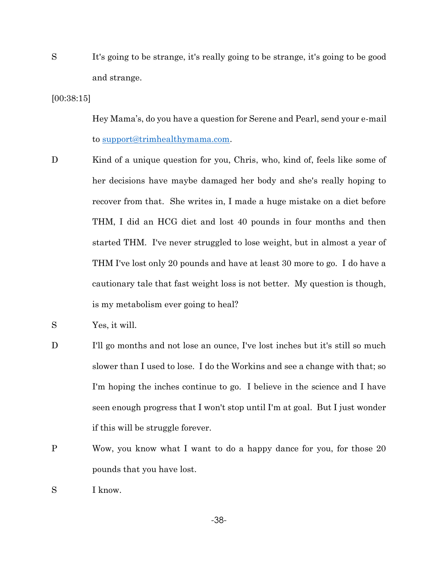S It's going to be strange, it's really going to be strange, it's going to be good and strange.

# [00:38:15]

Hey Mama's, do you have a question for Serene and Pearl, send your e-mail to [support@trimhealthymama.com.](mailto:support@trimhealthymama.com)

- D Kind of a unique question for you, Chris, who, kind of, feels like some of her decisions have maybe damaged her body and she's really hoping to recover from that. She writes in, I made a huge mistake on a diet before THM, I did an HCG diet and lost 40 pounds in four months and then started THM. I've never struggled to lose weight, but in almost a year of THM I've lost only 20 pounds and have at least 30 more to go. I do have a cautionary tale that fast weight loss is not better. My question is though, is my metabolism ever going to heal?
- S Yes, it will.
- D I'll go months and not lose an ounce, I've lost inches but it's still so much slower than I used to lose. I do the Workins and see a change with that; so I'm hoping the inches continue to go. I believe in the science and I have seen enough progress that I won't stop until I'm at goal. But I just wonder if this will be struggle forever.
- P Wow, you know what I want to do a happy dance for you, for those 20 pounds that you have lost.
- S I know.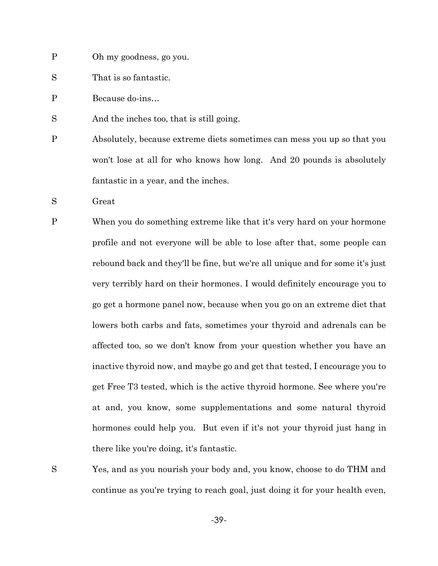- P Oh my goodness, go you.
- S That is so fantastic.
- P Because do-ins…
- S And the inches too, that is still going.
- P Absolutely, because extreme diets sometimes can mess you up so that you won't lose at all for who knows how long. And 20 pounds is absolutely fantastic in a year, and the inches.
- S Great
- P When you do something extreme like that it's very hard on your hormone profile and not everyone will be able to lose after that, some people can rebound back and they'll be fine, but we're all unique and for some it's just very terribly hard on their hormones. I would definitely encourage you to go get a hormone panel now, because when you go on an extreme diet that lowers both carbs and fats, sometimes your thyroid and adrenals can be affected too, so we don't know from your question whether you have an inactive thyroid now, and maybe go and get that tested, I encourage you to get Free T3 tested, which is the active thyroid hormone. See where you're at and, you know, some supplementations and some natural thyroid hormones could help you. But even if it's not your thyroid just hang in there like you're doing, it's fantastic.
- 

S Yes, and as you nourish your body and, you know, choose to do THM and continue as you're trying to reach goal, just doing it for your health even,

-39-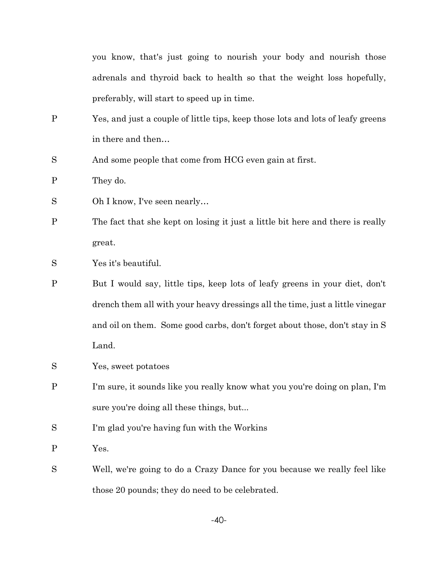you know, that's just going to nourish your body and nourish those adrenals and thyroid back to health so that the weight loss hopefully, preferably, will start to speed up in time.

- P Yes, and just a couple of little tips, keep those lots and lots of leafy greens in there and then…
- S And some people that come from HCG even gain at first.

P They do.

S Oh I know, I've seen nearly...

- P The fact that she kept on losing it just a little bit here and there is really great.
- S Yes it's beautiful.
- P But I would say, little tips, keep lots of leafy greens in your diet, don't drench them all with your heavy dressings all the time, just a little vinegar and oil on them. Some good carbs, don't forget about those, don't stay in S Land.
- S Yes, sweet potatoes
- P I'm sure, it sounds like you really know what you you're doing on plan, I'm sure you're doing all these things, but...
- S I'm glad you're having fun with the Workins
- P Yes.
- S Well, we're going to do a Crazy Dance for you because we really feel like those 20 pounds; they do need to be celebrated.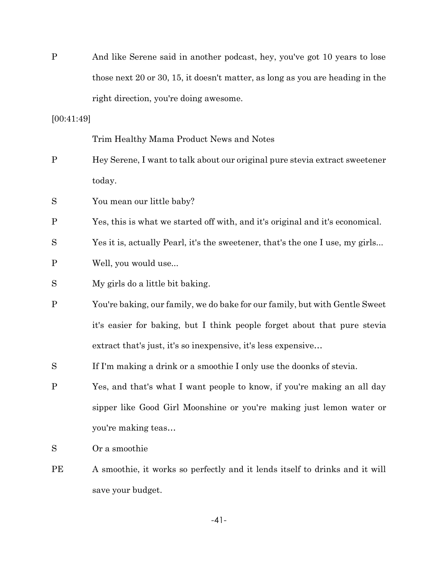| $\mathbf P$  | And like Serene said in another podcast, hey, you've got 10 years to lose     |
|--------------|-------------------------------------------------------------------------------|
|              | those next 20 or 30, 15, it doesn't matter, as long as you are heading in the |
|              | right direction, you're doing awesome.                                        |
| [00:41:49]   |                                                                               |
|              | Trim Healthy Mama Product News and Notes                                      |
| $\mathbf P$  | Hey Serene, I want to talk about our original pure stevia extract sweetener   |
|              | today.                                                                        |
| S            | You mean our little baby?                                                     |
| $\mathbf{P}$ | Yes, this is what we started off with, and it's original and it's economical. |
| S            | Yes it is, actually Pearl, it's the sweetener, that's the one I use, my girls |
| $\mathbf P$  | Well, you would use                                                           |
| S            | My girls do a little bit baking.                                              |
| $\mathbf P$  | You're baking, our family, we do bake for our family, but with Gentle Sweet   |
|              | it's easier for baking, but I think people forget about that pure stevia      |
|              | extract that's just, it's so inexpensive, it's less expensive                 |
| S            | If I'm making a drink or a smoothie I only use the doonks of stevia.          |
| $\mathbf P$  | Yes, and that's what I want people to know, if you're making an all day       |
|              | sipper like Good Girl Moonshine or you're making just lemon water or          |
|              | you're making teas                                                            |
| S            | Or a smoothie                                                                 |
| PЕ           | A smoothie, it works so perfectly and it lends itself to drinks and it will   |

save your budget.

-41-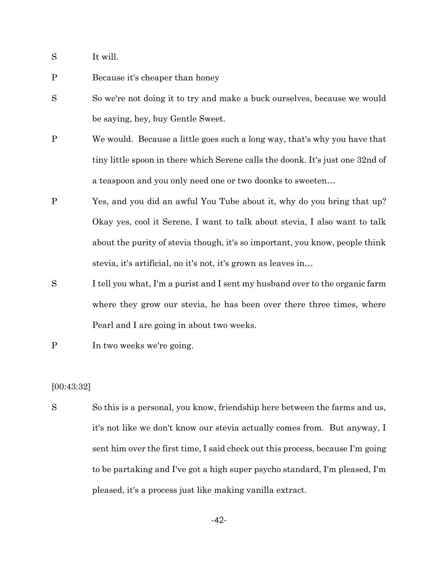- S It will.
- P Because it's cheaper than honey
- S So we're not doing it to try and make a buck ourselves, because we would be saying, hey, buy Gentle Sweet.
- P We would. Because a little goes such a long way, that's why you have that tiny little spoon in there which Serene calls the doonk. It's just one 32nd of a teaspoon and you only need one or two doonks to sweeten…
- P Yes, and you did an awful You Tube about it, why do you bring that up? Okay yes, cool it Serene, I want to talk about stevia, I also want to talk about the purity of stevia though, it's so important, you know, people think stevia, it's artificial, no it's not, it's grown as leaves in…
- S I tell you what, I'm a purist and I sent my husband over to the organic farm where they grow our stevia, he has been over there three times, where Pearl and I are going in about two weeks.
- P In two weeks we're going.

## [00:43:32]

S So this is a personal, you know, friendship here between the farms and us, it's not like we don't know our stevia actually comes from. But anyway, I sent him over the first time, I said check out this process, because I'm going to be partaking and I've got a high super psycho standard, I'm pleased, I'm pleased, it's a process just like making vanilla extract.

-42-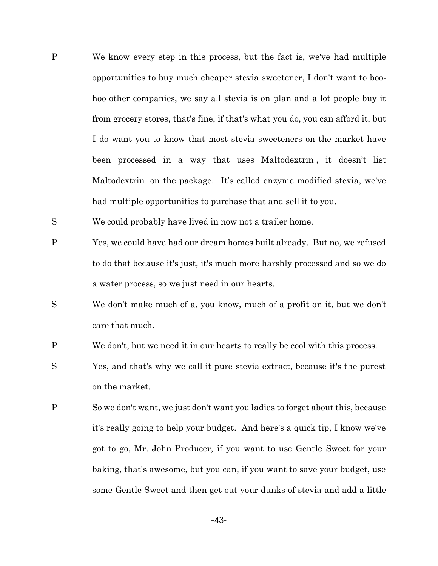- P We know every step in this process, but the fact is, we've had multiple opportunities to buy much cheaper stevia sweetener, I don't want to boohoo other companies, we say all stevia is on plan and a lot people buy it from grocery stores, that's fine, if that's what you do, you can afford it, but I do want you to know that most stevia sweeteners on the market have been processed in a way that uses Maltodextrin , it doesn't list Maltodextrin on the package. It's called enzyme modified stevia, we've had multiple opportunities to purchase that and sell it to you.
- S We could probably have lived in now not a trailer home.
- P Yes, we could have had our dream homes built already. But no, we refused to do that because it's just, it's much more harshly processed and so we do a water process, so we just need in our hearts.
- S We don't make much of a, you know, much of a profit on it, but we don't care that much.
- P We don't, but we need it in our hearts to really be cool with this process.
- S Yes, and that's why we call it pure stevia extract, because it's the purest on the market.
- P So we don't want, we just don't want you ladies to forget about this, because it's really going to help your budget. And here's a quick tip, I know we've got to go, Mr. John Producer, if you want to use Gentle Sweet for your baking, that's awesome, but you can, if you want to save your budget, use some Gentle Sweet and then get out your dunks of stevia and add a little

-43-